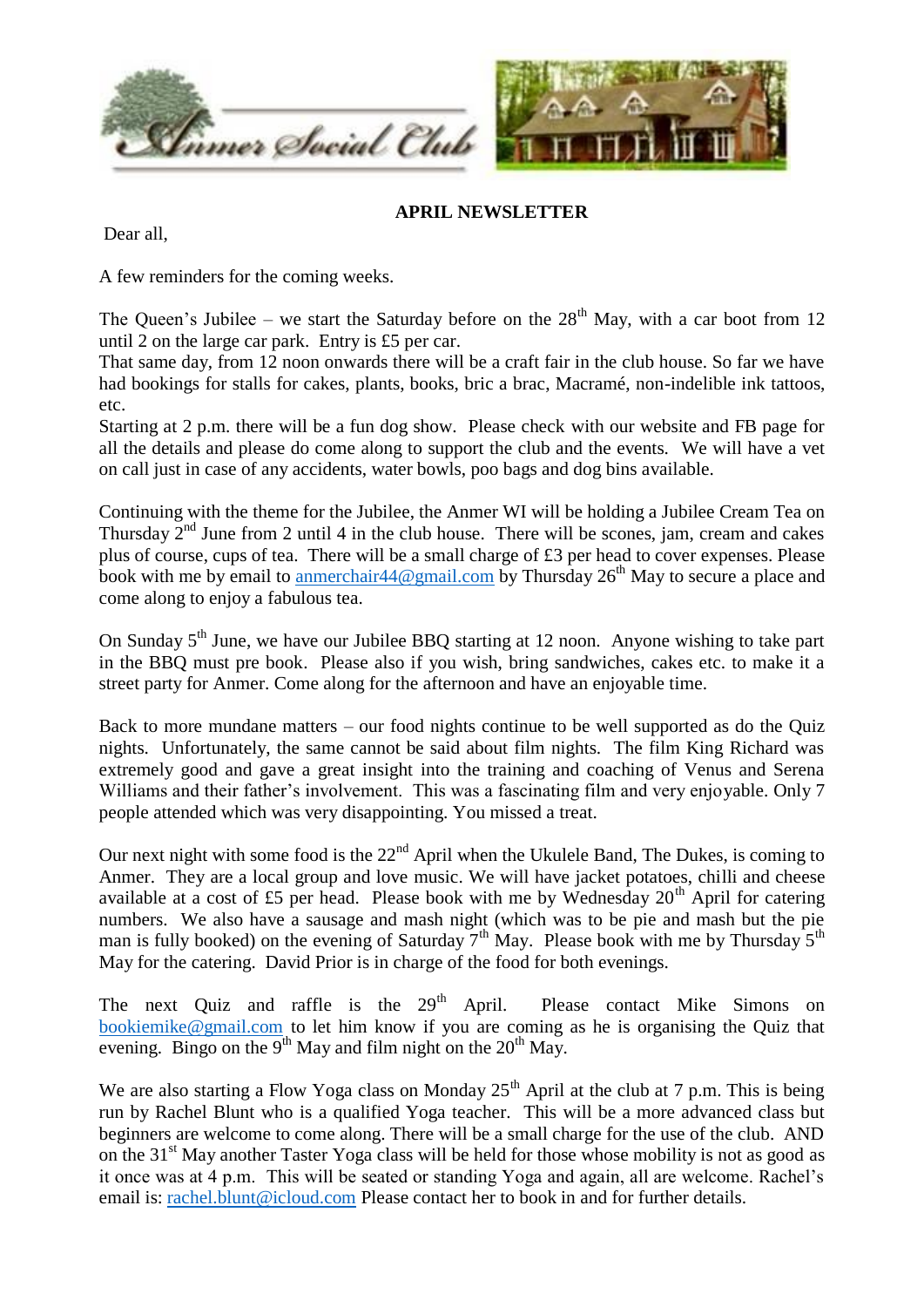

## **APRIL NEWSLETTER**

Dear all,

A few reminders for the coming weeks.

The Queen's Jubilee – we start the Saturday before on the  $28<sup>th</sup>$  May, with a car boot from 12 until 2 on the large car park. Entry is £5 per car.

That same day, from 12 noon onwards there will be a craft fair in the club house. So far we have had bookings for stalls for cakes, plants, books, bric a brac, Macramé, non-indelible ink tattoos, etc.

Starting at 2 p.m. there will be a fun dog show. Please check with our website and FB page for all the details and please do come along to support the club and the events. We will have a vet on call just in case of any accidents, water bowls, poo bags and dog bins available.

Continuing with the theme for the Jubilee, the Anmer WI will be holding a Jubilee Cream Tea on Thursday  $2^{nd}$  June from 2 until 4 in the club house. There will be scones, jam, cream and cakes plus of course, cups of tea. There will be a small charge of £3 per head to cover expenses. Please book with me by email to anmerchair  $44@$  gmail.com by Thursday  $26<sup>th</sup>$  May to secure a place and come along to enjoy a fabulous tea.

On Sunday  $5<sup>th</sup>$  June, we have our Jubilee BBQ starting at 12 noon. Anyone wishing to take part in the BBQ must pre book. Please also if you wish, bring sandwiches, cakes etc. to make it a street party for Anmer. Come along for the afternoon and have an enjoyable time.

Back to more mundane matters – our food nights continue to be well supported as do the Quiz nights. Unfortunately, the same cannot be said about film nights. The film King Richard was extremely good and gave a great insight into the training and coaching of Venus and Serena Williams and their father's involvement. This was a fascinating film and very enjoyable. Only 7 people attended which was very disappointing. You missed a treat.

Our next night with some food is the  $22<sup>nd</sup>$  April when the Ukulele Band, The Dukes, is coming to Anmer. They are a local group and love music. We will have jacket potatoes, chilli and cheese available at a cost of £5 per head. Please book with me by Wednesday  $20<sup>th</sup>$  April for catering numbers. We also have a sausage and mash night (which was to be pie and mash but the pie man is fully booked) on the evening of Saturday  $7<sup>th</sup>$  May. Please book with me by Thursday  $5<sup>th</sup>$ May for the catering. David Prior is in charge of the food for both evenings.

The next Quiz and raffle is the  $29<sup>th</sup>$  April. Please contact Mike Simons on [bookiemike@gmail.com](mailto:bookiemike@gmail.com) to let him know if you are coming as he is organising the Quiz that evening. Bingo on the 9<sup>th</sup> May and film night on the 20<sup>th</sup> May.

We are also starting a Flow Yoga class on Monday  $25<sup>th</sup>$  April at the club at 7 p.m. This is being run by Rachel Blunt who is a qualified Yoga teacher. This will be a more advanced class but beginners are welcome to come along. There will be a small charge for the use of the club. AND on the 31<sup>st</sup> May another Taster Yoga class will be held for those whose mobility is not as good as it once was at 4 p.m. This will be seated or standing Yoga and again, all are welcome. Rachel's email is: [rachel.blunt@icloud.com](mailto:rachel.blunt@icloud.com) Please contact her to book in and for further details.